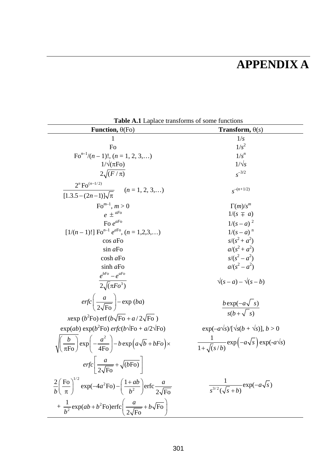## **APPENDIX A**

| <b>Table A.I</b> Laprace transforms of some functions<br>Function, $\theta$ (Fo)                                                                         | <b>Transform,</b> $\theta(s)$                              |
|----------------------------------------------------------------------------------------------------------------------------------------------------------|------------------------------------------------------------|
| 1                                                                                                                                                        | 1/s                                                        |
| Fo                                                                                                                                                       | $1/s^2$                                                    |
| $\mathrm{Fo}^{n-1}/(n-1)!, (n = 1, 2, 3,)$                                                                                                               | $1/s^n$                                                    |
| $1/\sqrt{(\pi F)}$                                                                                                                                       | $1/\sqrt{s}$                                               |
| $2\sqrt{(F/\pi)}$                                                                                                                                        | $s^{-3/2}$                                                 |
| $2^n$ Fo <sup><math>(n-1/2)</math></sup>                                                                                                                 |                                                            |
| $\overline{[1.3.5-(2n-1)]\sqrt{\pi}}$ ( <i>n</i> = 1, 2, 3,)                                                                                             | $s^{-(n+1/2)}$                                             |
| $\mathrm{Fo}^{m-1}$ , $m > 0$                                                                                                                            | $\Gamma(m)/s^m$                                            |
| $e + {}^{aF_0}$                                                                                                                                          | $1/(s \pm a)$                                              |
| Fo $e^{aF_0}$                                                                                                                                            | $1/(s-a)^2$                                                |
| [ $1/(n-1)!$ ] Fo <sup>n-1</sup> e <sup>aFo</sup> , (n = 1,2,3,)                                                                                         | $1/(s-a)^n$                                                |
| $\cos a\text{Fo}$                                                                                                                                        | $s/(s^2 + a^2)$                                            |
| sin a Fo                                                                                                                                                 | $a/(s^2+a^2)$                                              |
| $\cosh a\mathrm{Fo}$                                                                                                                                     | $s/(s^2 - a^2)$                                            |
| sinh aFo                                                                                                                                                 | $a/(s^2-a^2)$                                              |
| $e^{bFo}-e^{aFo}$                                                                                                                                        |                                                            |
| $\overline{2\sqrt{(\pi F\omega^3)}}$                                                                                                                     | $\sqrt{(s-a)} - \sqrt{(s-b)}$                              |
| $erfc\left(\frac{a}{2\sqrt{\text{F}\Omega}}\right) - \exp{(ba)}$                                                                                         | $\frac{b \exp(-a\sqrt{s})}{s(b+\sqrt{s})}$                 |
| xexp (b <sup>2</sup> Fo) erf (b $\sqrt{F_0}$ + a/2 $\sqrt{F_0}$ )                                                                                        |                                                            |
| $\exp(ab)\exp(b^2\text{Fo})\,erfc(b\sqrt{\text{Fo}}+a/2\sqrt{\text{Fo}})$                                                                                | $\exp(-a\sqrt{s})/[\sqrt{s(b + \sqrt{s})}], b > 0$         |
| $\sqrt{\left(\frac{b}{\pi \mathrm{Fo}}\right)} \exp\left(-\frac{a^2}{4 \mathrm{Fo}}\right) - b \exp\left(a\sqrt{b} + bFo\right) \times$                  | $\frac{1}{1+\sqrt{(s/b)}}\exp(-a\sqrt{s})\exp(-a\sqrt{s})$ |
| $erfc\frac{a}{2\sqrt{F\Omega}} + \sqrt{(bF\Omega)}$                                                                                                      |                                                            |
| $\frac{2}{h} \left( \frac{\text{Fo}}{\pi} \right)^{1/2} \exp(-4a^2 \text{Fo}) - \left( \frac{1+ab}{b^2} \right) \text{erfc} \frac{a}{2\sqrt{\text{Fo}}}$ | $\frac{1}{s^{3/2}(\sqrt{s}+b)}\exp(-a\sqrt{s})$            |
| $+\frac{1}{b^2}$ exp(ab + b <sup>2</sup> Fo)erfc $\left(\frac{a}{2\sqrt{F_0}}+b\sqrt{F_0}\right)$                                                        |                                                            |

**Table A.1** Laplace transforms of some functions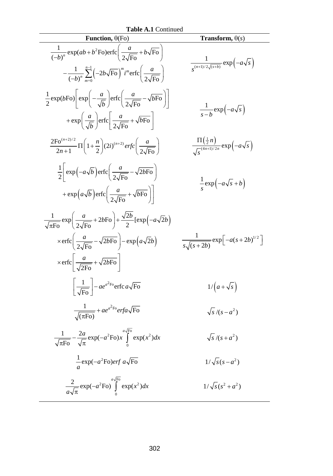| <b>Table A.1 Continued</b><br>Function, $\theta$ (Fo)<br>Transform, $\theta(s)$                                                                                                                                                                                                        |                                                                   |  |
|----------------------------------------------------------------------------------------------------------------------------------------------------------------------------------------------------------------------------------------------------------------------------------------|-------------------------------------------------------------------|--|
| $\frac{1}{(-b)^n} \exp(ab + b^2 \text{Fo}) \text{erfc}\left(\frac{a}{2\sqrt{\text{Fo}}} + b\sqrt{\text{Fo}}\right)$<br>$-\frac{1}{(-b)^n}\sum_{m=0}^{n-1}(-2b\sqrt{\text{Fo}})^m i^m \text{erfc}\left(\frac{a}{2\sqrt{\text{Fo}}}\right)$                                              | $\frac{1}{e^{(n+1)/2\sqrt{(s+b)}}}\exp(-a\sqrt{s})$               |  |
| $\frac{1}{2}$ exp(bFo) $\left  \exp\left(-\frac{a}{\sqrt{b}}\right) \right $ erfc $\left(\frac{a}{2\sqrt{F_0}} - \sqrt{bF_0}\right)$<br>$+\exp\left(\frac{a}{\sqrt{b}}\right) \text{erfc}\left(\frac{a}{2\sqrt{\text{Fe}}}\right) + \sqrt{b\text{Fo}}\right)$                          | $\frac{1}{s-h} \exp(-a\sqrt{s})$                                  |  |
| $\frac{2\mathrm{Fo}^{(n+2)/2}}{2n+1}\Pi\left(1+\frac{n}{2}\right)(2i)^{(n+2)}\,erfc\left(\frac{a}{2\sqrt{\mathrm{Fo}}}\right)$                                                                                                                                                         | $\frac{\Pi(\frac{1}{2}n)}{\sqrt{a^{(4n+1)/2n}}} \exp(-a\sqrt{s})$ |  |
| $\frac{1}{2}$ exp $\left(-a\sqrt{b}\right)$ erfc $\left(\frac{a}{2\sqrt{E_0}} - \sqrt{2bF_0}\right)$<br>$+\exp\left(a\sqrt{b}\right) \operatorname{erfc}\left(\frac{a}{2\sqrt{F_0}}+\sqrt{bF_0}\right)$                                                                                | $\frac{1}{a}$ exp $\left(-a\sqrt{s}+b\right)$                     |  |
| $\frac{1}{\sqrt{\pi E_0}} \exp\left(\frac{a}{2\sqrt{E_0}} + 2b\sqrt{F_0}\right) + \frac{\sqrt{2b}}{2} [\exp(-a\sqrt{2}b)]$<br>$\times \text{erfc}\left(\frac{a}{2\sqrt{\text{Eo}}}-\sqrt{2b\text{Fo}}\right)-\exp(a\sqrt{2}b)$<br>$\times$ erfc $\frac{a}{\sqrt{2E_0}} + \sqrt{2bF_0}$ | $\frac{1}{s_s\sqrt{(s+2b)}} \exp \left[-a(s+2b)^{1/2}\right]$     |  |
| $\frac{1}{\sqrt{F_0}}$ - $ae^{a^2F_0}$ erfc $a\sqrt{F_0}$                                                                                                                                                                                                                              | $1/(a+\sqrt{s})$                                                  |  |
| $\frac{1}{\sqrt{(\pi \text{Fo})}} + ae^{a^2 \text{Fo}} erfa\sqrt{\text{Fo}}$                                                                                                                                                                                                           | $\sqrt{s}/(s-a^2)$                                                |  |
| $\frac{1}{\sqrt{\pi \mathrm{Fo}}} - \frac{2a}{\sqrt{\pi}} \exp(-a^2 \mathrm{Fo}) x \int_{0}^{a\sqrt{\mathrm{Fo}}} \exp(x^2) dx$                                                                                                                                                        | $\sqrt{s}/(s+a^2)$                                                |  |
| $\frac{1}{2}$ exp( $-a^2$ Fo) <i>erf a</i> $\sqrt{F_0}$                                                                                                                                                                                                                                | $1/\sqrt{s(s-a^2)}$                                               |  |
| $\frac{2}{a\sqrt{\pi}}\exp(-a^2\text{Fo})\int_{0}^{a\sqrt{\text{Fo}}}\exp(x^2)dx$                                                                                                                                                                                                      | $1/\sqrt{s} (s^2 + a^2)$                                          |  |